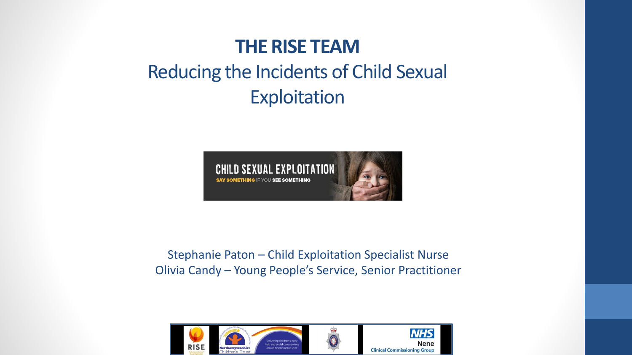#### **THE RISE TEAM**

#### Reducing the Incidents of Child Sexual Exploitation



Stephanie Paton – Child Exploitation Specialist Nurse Olivia Candy – Young People's Service, Senior Practitioner

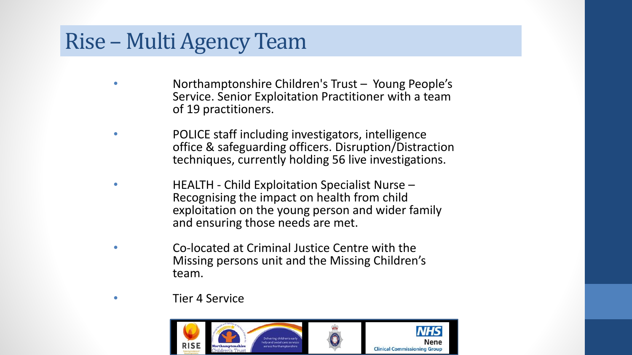#### Rise – Multi Agency Team

- Northamptonshire Children's Trust Young People's Service. Senior Exploitation Practitioner with a team of 19 practitioners.
- POLICE staff including investigators, intelligence office & safeguarding officers. Disruption/Distraction techniques, currently holding 56 live investigations.
- HEALTH Child Exploitation Specialist Nurse Recognising the impact on health from child exploitation on the young person and wider family and ensuring those needs are met.
- Co-located at Criminal Justice Centre with the Missing persons unit and the Missing Children's team.
	- Tier 4 Service

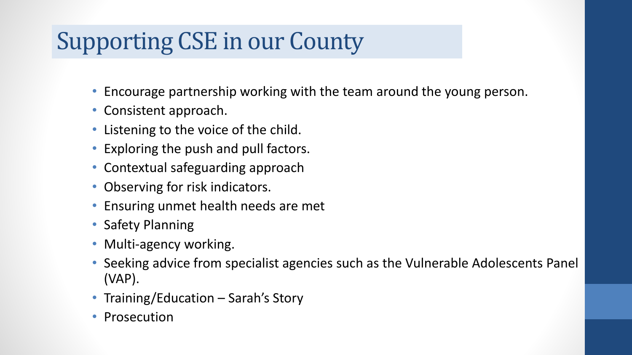# Supporting CSE in our County

- Encourage partnership working with the team around the young person.
- Consistent approach.
- Listening to the voice of the child.
- Exploring the push and pull factors.
- Contextual safeguarding approach
- Observing for risk indicators.
- Ensuring unmet health needs are met
- Safety Planning
- Multi-agency working.
- Seeking advice from specialist agencies such as the Vulnerable Adolescents Panel (VAP).
- Training/Education Sarah's Story
- Prosecution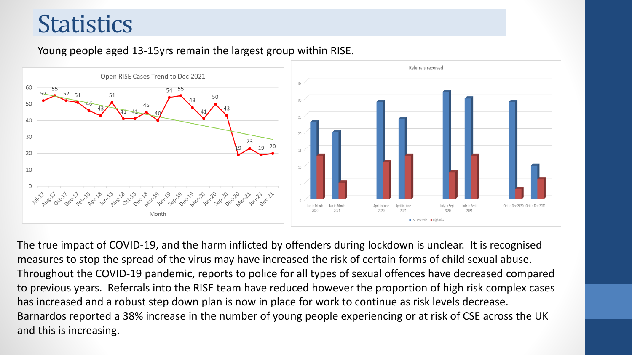## **Statistics**

#### Young people aged 13-15yrs remain the largest group within RISE.



The true impact of COVID-19, and the harm inflicted by offenders during lockdown is unclear. It is recognised measures to stop the spread of the virus may have increased the risk of certain forms of child sexual abuse. Throughout the COVID-19 pandemic, reports to police for all types of sexual offences have decreased compared to previous years. Referrals into the RISE team have reduced however the proportion of high risk complex cases has increased and a robust step down plan is now in place for work to continue as risk levels decrease. Barnardos reported a 38% increase in the number of young people experiencing or at risk of CSE across the UK and this is increasing.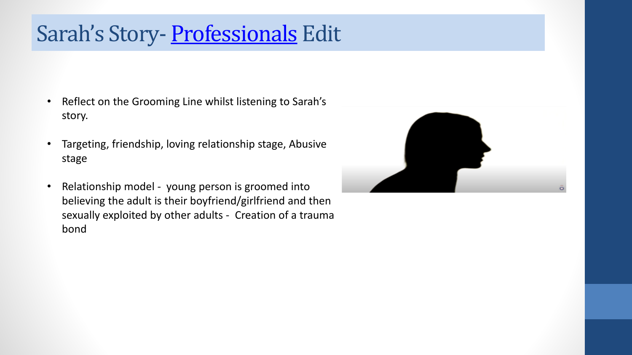### Sarah's Story- [Professionals](https://youtu.be/G6KdMsh7AiQ) Edit

- Reflect on the Grooming Line whilst listening to Sarah's story.
- Targeting, friendship, loving relationship stage, Abusive stage
- Relationship model young person is groomed into believing the adult is their boyfriend/girlfriend and then sexually exploited by other adults - Creation of a trauma bond

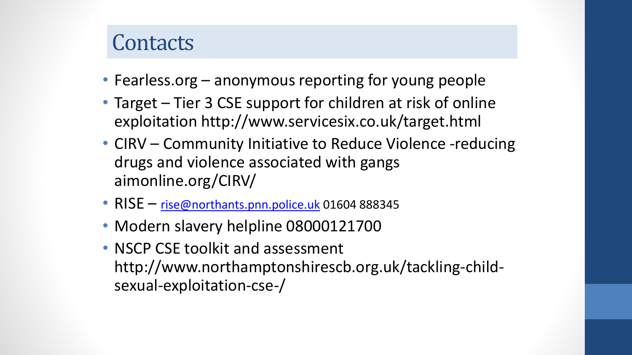#### **Contacts**

- Fearless.org anonymous reporting for young people
- Target Tier 3 CSE support for children at risk of online exploitation http://www.servicesix.co.uk/target.html
- CIRV Community Initiative to Reduce Violence -reducing drugs and violence associated with gangs aimonline.org/CIRV/
- RISE [rise@northants.pnn.police.uk](mailto:rise@northants.pnn.police.uk) 01604 888345
- Modern slavery helpline 08000121700
- NSCP CSE toolkit and assessment http://www.northamptonshirescb.org.uk/tackling-childsexual-exploitation-cse-/